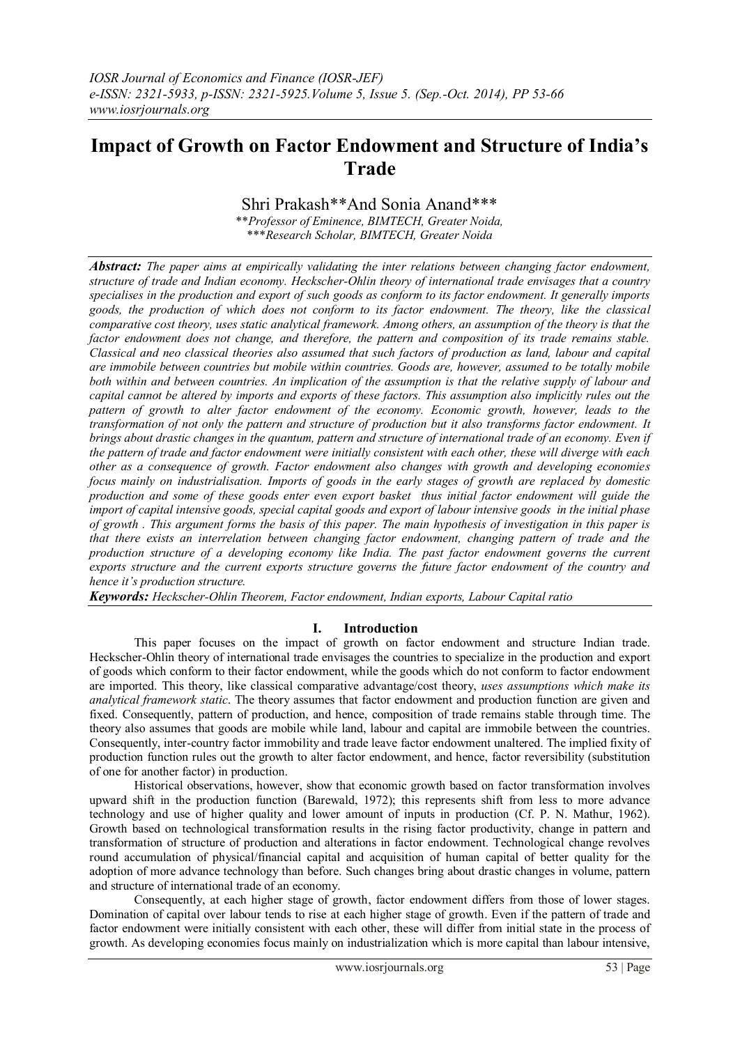# **Impact of Growth on Factor Endowment and Structure of India's Trade**

# Shri Prakash\*\*And Sonia Anand\*\*\*

\*\**Professor of Eminence, BIMTECH, Greater Noida,* \*\*\**Research Scholar, BIMTECH, Greater Noida*

*Abstract: The paper aims at empirically validating the inter relations between changing factor endowment, structure of trade and Indian economy. [Heckscher-Ohlin](http://www.google.co.in/search?hl=en&biw=1020&bih=546&sa=X&ei=PtOiTcvXAsaurAf_-r31Ag&ved=0CBYQvwUoAQ&q=Heckscher-Ohlin&spell=1) theory of international trade envisages that a country specialises in the production and export of such goods as conform to its factor endowment. It generally imports goods, the production of which does not conform to its factor endowment. The theory, like the classical comparative cost theory, uses static analytical framework. Among others, an assumption of the theory is that the factor endowment does not change, and therefore, the pattern and composition of its trade remains stable. Classical and neo classical theories also assumed that such factors of production as land, labour and capital are immobile between countries but mobile within countries. Goods are, however, assumed to be totally mobile both within and between countries. An implication of the assumption is that the relative supply of labour and capital cannot be altered by imports and exports of these factors. This assumption also implicitly rules out the*  pattern of growth to alter factor endowment of the economy. Economic growth, however, leads to the *transformation of not only the pattern and structure of production but it also transforms factor endowment. It brings about drastic changes in the quantum, pattern and structure of international trade of an economy. Even if the pattern of trade and factor endowment were initially consistent with each other, these will diverge with each other as a consequence of growth. Factor endowment also changes with growth and developing economies focus mainly on industrialisation. Imports of goods in the early stages of growth are replaced by domestic production and some of these goods enter even export basket thus initial factor endowment will guide the import of capital intensive goods, special capital goods and export of labour intensive goods in the initial phase of growth . This argument forms the basis of this paper. The main hypothesis of investigation in this paper is that there exists an interrelation between changing factor endowment, changing pattern of trade and the production structure of a developing economy like India. The past factor endowment governs the current exports structure and the current exports structure governs the future factor endowment of the country and hence it's production structure.*

*Keywords: Heckscher-Ohlin Theorem, Factor endowment, Indian exports, Labour Capital ratio*

## **I. Introduction**

This paper focuses on the impact of growth on factor endowment and structure Indian trade. [Heckscher-Ohlin](http://www.google.co.in/search?hl=en&biw=1020&bih=546&sa=X&ei=PtOiTcvXAsaurAf_-r31Ag&ved=0CBYQvwUoAQ&q=Heckscher-Ohlin&spell=1) theory of international trade envisages the countries to specialize in the production and export of goods which conform to their factor endowment, while the goods which do not conform to factor endowment are imported. This theory, like classical comparative advantage/cost theory, *uses assumptions which make its analytical framework static*. The theory assumes that factor endowment and production function are given and fixed. Consequently, pattern of production, and hence, composition of trade remains stable through time. The theory also assumes that goods are mobile while land, labour and capital are immobile between the countries. Consequently, inter-country factor immobility and trade leave factor endowment unaltered. The implied fixity of production function rules out the growth to alter factor endowment, and hence, factor reversibility (substitution of one for another factor) in production.

Historical observations, however, show that economic growth based on factor transformation involves upward shift in the production function (Barewald, 1972); this represents shift from less to more advance technology and use of higher quality and lower amount of inputs in production (Cf. P. N. Mathur, 1962). Growth based on technological transformation results in the rising factor productivity, change in pattern and transformation of structure of production and alterations in factor endowment. Technological change revolves round accumulation of physical/financial capital and acquisition of human capital of better quality for the adoption of more advance technology than before. Such changes bring about drastic changes in volume, pattern and structure of international trade of an economy.

Consequently, at each higher stage of growth, factor endowment differs from those of lower stages. Domination of capital over labour tends to rise at each higher stage of growth. Even if the pattern of trade and factor endowment were initially consistent with each other, these will differ from initial state in the process of growth. As developing economies focus mainly on industrialization which is more capital than labour intensive,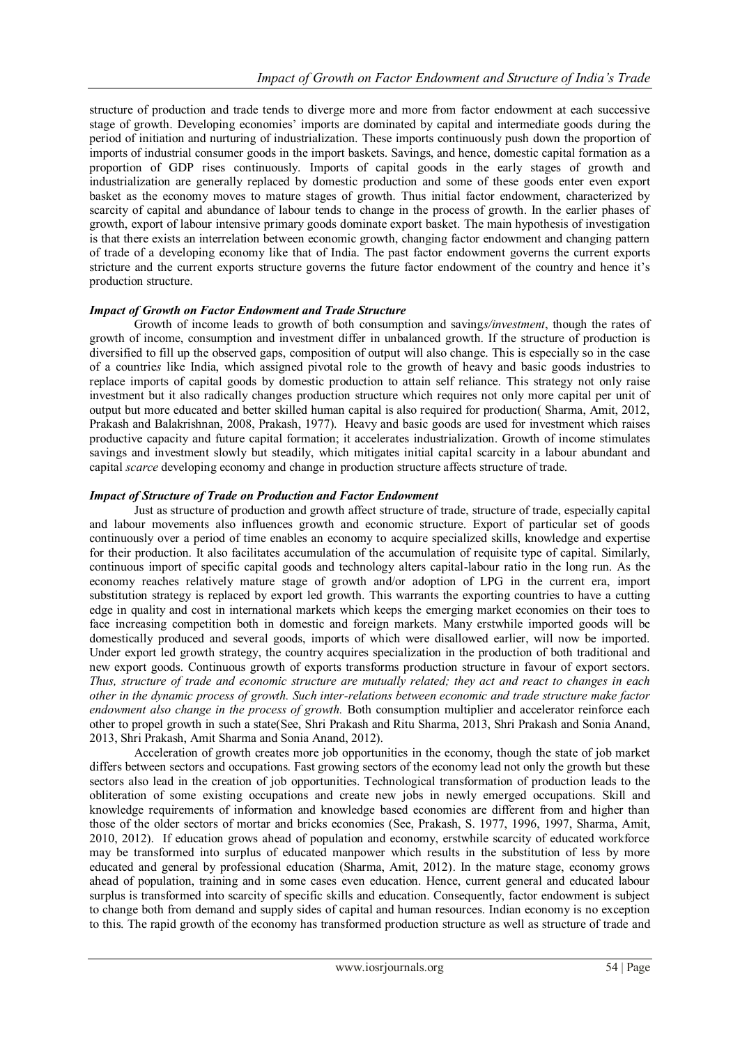structure of production and trade tends to diverge more and more from factor endowment at each successive stage of growth. Developing economies" imports are dominated by capital and intermediate goods during the period of initiation and nurturing of industrialization. These imports continuously push down the proportion of imports of industrial consumer goods in the import baskets. Savings, and hence, domestic capital formation as a proportion of GDP rises continuously. Imports of capital goods in the early stages of growth and industrialization are generally replaced by domestic production and some of these goods enter even export basket as the economy moves to mature stages of growth. Thus initial factor endowment, characterized by scarcity of capital and abundance of labour tends to change in the process of growth. In the earlier phases of growth, export of labour intensive primary goods dominate export basket. The main hypothesis of investigation is that there exists an interrelation between economic growth, changing factor endowment and changing pattern of trade of a developing economy like that of India. The past factor endowment governs the current exports stricture and the current exports structure governs the future factor endowment of the country and hence it"s production structure.

## *Impact of Growth on Factor Endowment and Trade Structure*

Growth of income leads to growth of both consumption and saving*s/investment*, though the rates of growth of income, consumption and investment differ in unbalanced growth. If the structure of production is diversified to fill up the observed gaps, composition of output will also change. This is especially so in the case of a countrie*s* like India, which assigned pivotal role to the growth of heavy and basic goods industries to replace imports of capital goods by domestic production to attain self reliance. This strategy not only raise investment but it also radically changes production structure which requires not only more capital per unit of output but more educated and better skilled human capital is also required for production( Sharma, Amit, 2012, Prakash and Balakrishnan, 2008, Prakash, 1977). Heavy and basic goods are used for investment which raises productive capacity and future capital formation; it accelerates industrialization. Growth of income stimulates savings and investment slowly but steadily, which mitigates initial capital scarcity in a labour abundant and capital *scarce* developing economy and change in production structure affects structure of trade.

#### *Impact of Structure of Trade on Production and Factor Endowment*

Just as structure of production and growth affect structure of trade, structure of trade, especially capital and labour movements also influences growth and economic structure. Export of particular set of goods continuously over a period of time enables an economy to acquire specialized skills, knowledge and expertise for their production. It also facilitates accumulation of the accumulation of requisite type of capital. Similarly, continuous import of specific capital goods and technology alters capital-labour ratio in the long run. As the economy reaches relatively mature stage of growth and/or adoption of LPG in the current era, import substitution strategy is replaced by export led growth. This warrants the exporting countries to have a cutting edge in quality and cost in international markets which keeps the emerging market economies on their toes to face increasing competition both in domestic and foreign markets. Many erstwhile imported goods will be domestically produced and several goods, imports of which were disallowed earlier, will now be imported. Under export led growth strategy, the country acquires specialization in the production of both traditional and new export goods. Continuous growth of exports transforms production structure in favour of export sectors. *Thus, structure of trade and economic structure are mutually related; they act and react to changes in each other in the dynamic process of growth. Such inter-relations between economic and trade structure make factor endowment also change in the process of growth.* Both consumption multiplier and accelerator reinforce each other to propel growth in such a state(See, Shri Prakash and Ritu Sharma, 2013, Shri Prakash and Sonia Anand, 2013, Shri Prakash, Amit Sharma and Sonia Anand, 2012).

Acceleration of growth creates more job opportunities in the economy, though the state of job market differs between sectors and occupations. Fast growing sectors of the economy lead not only the growth but these sectors also lead in the creation of job opportunities. Technological transformation of production leads to the obliteration of some existing occupations and create new jobs in newly emerged occupations. Skill and knowledge requirements of information and knowledge based economies are different from and higher than those of the older sectors of mortar and bricks economies (See, Prakash, S. 1977, 1996, 1997, Sharma, Amit, 2010, 2012). If education grows ahead of population and economy, erstwhile scarcity of educated workforce may be transformed into surplus of educated manpower which results in the substitution of less by more educated and general by professional education (Sharma, Amit, 2012). In the mature stage, economy grows ahead of population, training and in some cases even education. Hence, current general and educated labour surplus is transformed into scarcity of specific skills and education. Consequently, factor endowment is subject to change both from demand and supply sides of capital and human resources. Indian economy is no exception to this. The rapid growth of the economy has transformed production structure as well as structure of trade and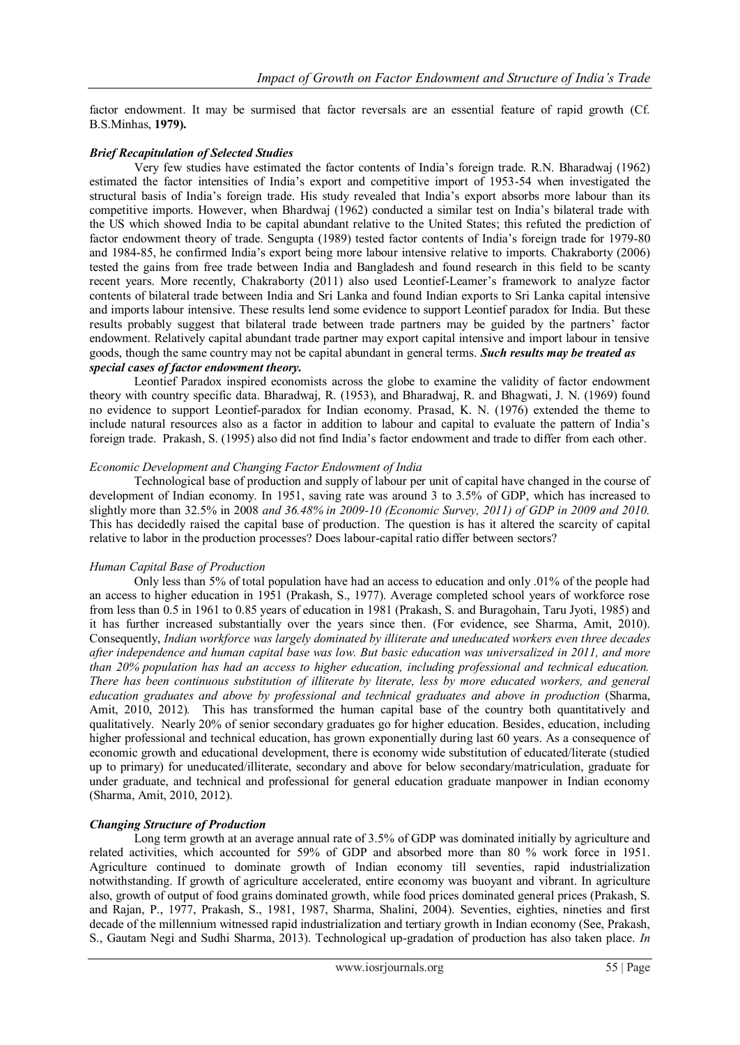factor endowment. It may be surmised that factor reversals are an essential feature of rapid growth (Cf. B.S.Minhas, **1979).**

## *Brief Recapitulation of Selected Studies*

Very few studies have estimated the factor contents of India"s foreign trade. R.N. Bharadwaj (1962) estimated the factor intensities of India"s export and competitive import of 1953-54 when investigated the structural basis of India"s foreign trade. His study revealed that India"s export absorbs more labour than its competitive imports. However, when Bhardwaj (1962) conducted a similar test on India"s bilateral trade with the US which showed India to be capital abundant relative to the United States; this refuted the prediction of factor endowment theory of trade. Sengupta (1989) tested factor contents of India"s foreign trade for 1979-80 and 1984-85, he confirmed India"s export being more labour intensive relative to imports. Chakraborty (2006) tested the gains from free trade between India and Bangladesh and found research in this field to be scanty recent years. More recently, Chakraborty (2011) also used Leontief-Leamer"s framework to analyze factor contents of bilateral trade between India and Sri Lanka and found Indian exports to Sri Lanka capital intensive and imports labour intensive. These results lend some evidence to support Leontief paradox for India. But these results probably suggest that bilateral trade between trade partners may be guided by the partners" factor endowment. Relatively capital abundant trade partner may export capital intensive and import labour in tensive goods, though the same country may not be capital abundant in general terms. *Such results may be treated as special cases of factor endowment theory.*

Leontief Paradox inspired economists across the globe to examine the validity of factor endowment theory with country specific data. Bharadwaj, R. (1953), and Bharadwaj, R. and Bhagwati, J. N. (1969) found no evidence to support Leontief-paradox for Indian economy. Prasad, K. N. (1976) extended the theme to include natural resources also as a factor in addition to labour and capital to evaluate the pattern of India"s foreign trade. Prakash, S. (1995) also did not find India"s factor endowment and trade to differ from each other.

## *Economic Development and Changing Factor Endowment of India*

Technological base of production and supply of labour per unit of capital have changed in the course of development of Indian economy. In 1951, saving rate was around 3 to 3.5% of GDP, which has increased to slightly more than 32.5% in 2008 *and 36.48% in 2009-10 (Economic Survey, 2011) of GDP in 2009 and 2010.*  This has decidedly raised the capital base of production. The question is has it altered the scarcity of capital relative to labor in the production processes? Does labour-capital ratio differ between sectors?

## *Human Capital Base of Production*

Only less than 5% of total population have had an access to education and only .01% of the people had an access to higher education in 1951 (Prakash, S., 1977). Average completed school years of workforce rose from less than 0.5 in 1961 to 0.85 years of education in 1981 (Prakash, S. and Buragohain, Taru Jyoti, 1985) and it has further increased substantially over the years since then. (For evidence, see Sharma, Amit, 2010). Consequently, *Indian workforce was largely dominated by illiterate and uneducated workers even three decades after independence and human capital base was low. But basic education was universalized in 2011, and more than 20% population has had an access to higher education, including professional and technical education. There has been continuous substitution of illiterate by literate, less by more educated workers, and general education graduates and above by professional and technical graduates and above in production* (Sharma, Amit, 2010, 2012). This has transformed the human capital base of the country both quantitatively and qualitatively. Nearly 20% of senior secondary graduates go for higher education. Besides, education, including higher professional and technical education, has grown exponentially during last 60 years. As a consequence of economic growth and educational development, there is economy wide substitution of educated/literate (studied up to primary) for uneducated/illiterate, secondary and above for below secondary/matriculation, graduate for under graduate, and technical and professional for general education graduate manpower in Indian economy (Sharma, Amit, 2010, 2012).

# *Changing Structure of Production*

Long term growth at an average annual rate of 3.5% of GDP was dominated initially by agriculture and related activities, which accounted for 59% of GDP and absorbed more than 80 % work force in 1951. Agriculture continued to dominate growth of Indian economy till seventies, rapid industrialization notwithstanding. If growth of agriculture accelerated, entire economy was buoyant and vibrant. In agriculture also, growth of output of food grains dominated growth, while food prices dominated general prices (Prakash, S. and Rajan, P., 1977, Prakash, S., 1981, 1987, Sharma, Shalini, 2004). Seventies, eighties, nineties and first decade of the millennium witnessed rapid industrialization and tertiary growth in Indian economy (See, Prakash, S., Gautam Negi and Sudhi Sharma, 2013). Technological up-gradation of production has also taken place. *In*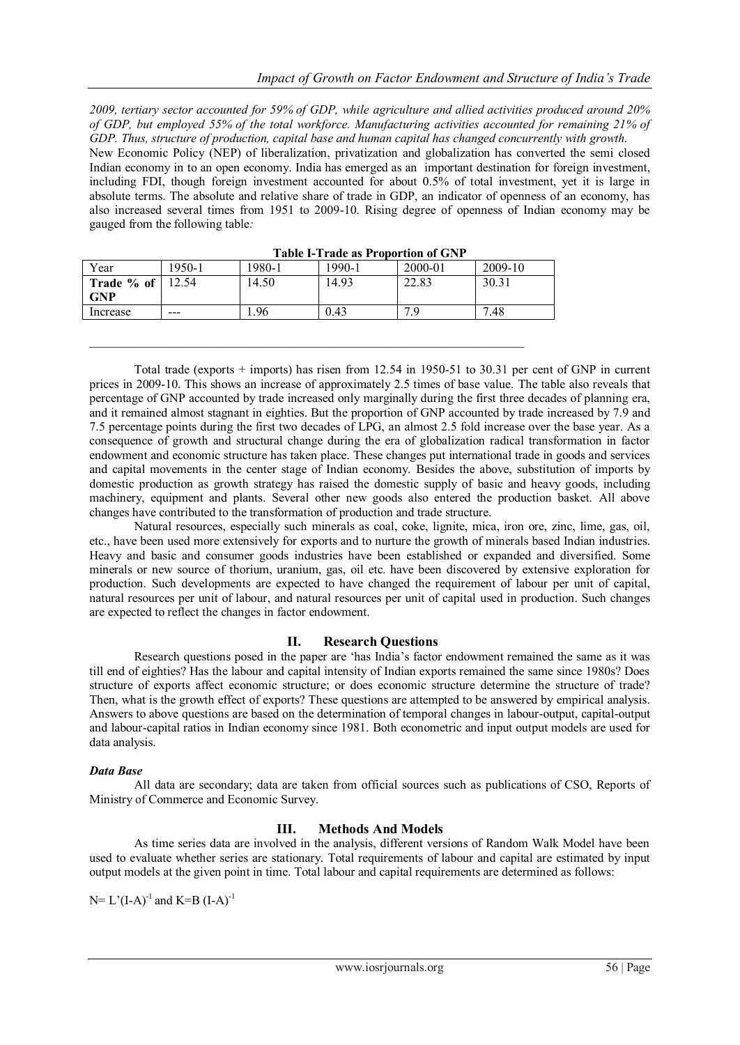*2009, tertiary sector accounted for 59% of GDP, while agriculture and allied activities produced around 20% of GDP, but employed 55% of the total workforce. Manufacturing activities accounted for remaining 21% of GDP. Thus, structure of production, capital base and human capital has changed concurrently with growth.* New Economic Policy (NEP) of liberalization, privatization and globalization has converted the semi closed Indian economy in to an open economy. India has emerged as an important destination for foreign investment, including FDI, though foreign investment accounted for about 0.5% of total investment, yet it is large in absolute terms. The absolute and relative share of trade in GDP, an indicator of openness of an economy, has also increased several times from 1951 to 2009-10. Rising degree of openness of Indian economy may be gauged from the following table*:*

| 1950-1 | 1980-1 | 1990-1 | 2000-01 | 2009-10                                    |
|--------|--------|--------|---------|--------------------------------------------|
| 12.54  | 14.50  | 14.93  | 22.83   | 30.31                                      |
|        |        |        |         |                                            |
| ---    | .96    | 0.43   | 7 Ω     | 7.48                                       |
|        |        |        |         | <b>Table 1-Trade as Proportion of GIVE</b> |

\_\_\_\_\_\_\_\_\_\_\_\_\_\_\_\_\_\_\_\_\_\_\_\_\_\_\_\_\_\_\_\_\_\_\_\_\_\_\_\_\_\_\_\_\_\_\_\_\_\_\_\_\_\_\_\_\_\_\_\_\_\_\_\_\_\_\_\_\_\_

**Table I-Trade as Proportion of GNP**

Total trade (exports + imports) has risen from 12.54 in 1950-51 to 30.31 per cent of GNP in current prices in 2009-10. This shows an increase of approximately 2.5 times of base value. The table also reveals that percentage of GNP accounted by trade increased only marginally during the first three decades of planning era, and it remained almost stagnant in eighties. But the proportion of GNP accounted by trade increased by 7.9 and 7.5 percentage points during the first two decades of LPG, an almost 2.5 fold increase over the base year. As a consequence of growth and structural change during the era of globalization radical transformation in factor endowment and economic structure has taken place. These changes put international trade in goods and services and capital movements in the center stage of Indian economy. Besides the above, substitution of imports by domestic production as growth strategy has raised the domestic supply of basic and heavy goods, including machinery, equipment and plants. Several other new goods also entered the production basket. All above changes have contributed to the transformation of production and trade structure.

Natural resources, especially such minerals as coal, coke, lignite, mica, iron ore, zinc, lime, gas, oil, etc., have been used more extensively for exports and to nurture the growth of minerals based Indian industries. Heavy and basic and consumer goods industries have been established or expanded and diversified. Some minerals or new source of thorium, uranium, gas, oil etc. have been discovered by extensive exploration for production. Such developments are expected to have changed the requirement of labour per unit of capital, natural resources per unit of labour, and natural resources per unit of capital used in production. Such changes are expected to reflect the changes in factor endowment.

## **II. Research Questions**

Research questions posed in the paper are "has India"s factor endowment remained the same as it was till end of eighties? Has the labour and capital intensity of Indian exports remained the same since 1980s? Does structure of exports affect economic structure; or does economic structure determine the structure of trade? Then, what is the growth effect of exports? These questions are attempted to be answered by empirical analysis. Answers to above questions are based on the determination of temporal changes in labour-output, capital-output and labour-capital ratios in Indian economy since 1981. Both econometric and input output models are used for data analysis.

## *Data Base*

All data are secondary; data are taken from official sources such as publications of CSO, Reports of Ministry of Commerce and Economic Survey.

## **III. Methods And Models**

As time series data are involved in the analysis, different versions of Random Walk Model have been used to evaluate whether series are stationary. Total requirements of labour and capital are estimated by input output models at the given point in time. Total labour and capital requirements are determined as follows:

 $N=L^{(I-A)^{-1}}$  and  $K=B(I-A)^{-1}$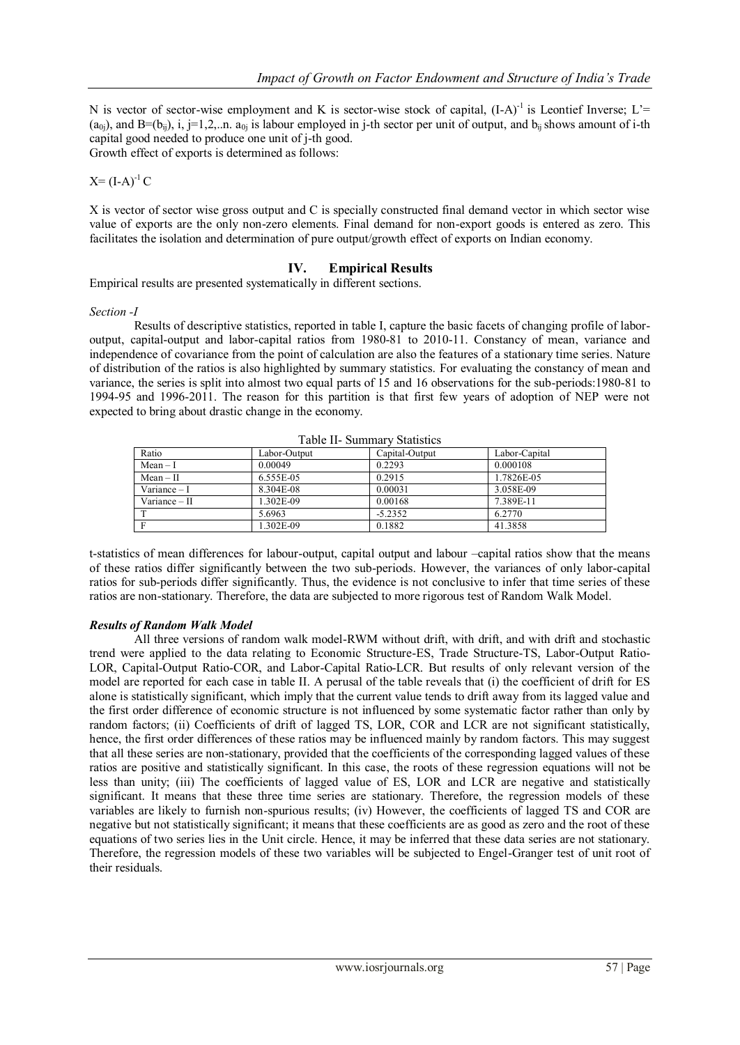N is vector of sector-wise employment and K is sector-wise stock of capital,  $(I-A)^{-1}$  is Leontief Inverse; L'=  $(a_{0i})$ , and  $B=(b_{ii})$ , i,  $j=1,2,...$  a.  $a_{0i}$  is labour employed in j-th sector per unit of output, and  $b_{ii}$  shows amount of i-th capital good needed to produce one unit of j-th good. Growth effect of exports is determined as follows:

 $X=(I-A)^{-1}C$ 

X is vector of sector wise gross output and C is specially constructed final demand vector in which sector wise value of exports are the only non-zero elements. Final demand for non-export goods is entered as zero. This facilitates the isolation and determination of pure output/growth effect of exports on Indian economy.

# **IV. Empirical Results**

Empirical results are presented systematically in different sections.

#### *Section -I*

Results of descriptive statistics, reported in table I, capture the basic facets of changing profile of laboroutput, capital-output and labor-capital ratios from 1980-81 to 2010-11. Constancy of mean, variance and independence of covariance from the point of calculation are also the features of a stationary time series. Nature of distribution of the ratios is also highlighted by summary statistics. For evaluating the constancy of mean and variance, the series is split into almost two equal parts of 15 and 16 observations for the sub-periods:1980-81 to 1994-95 and 1996-2011. The reason for this partition is that first few years of adoption of NEP were not expected to bring about drastic change in the economy.

| Ratio         | Labor-Output | Capital-Output | Labor-Capital |  |  |  |  |  |  |  |
|---------------|--------------|----------------|---------------|--|--|--|--|--|--|--|
| $Mean - I$    | 0.00049      | 0.2293         | 0.000108      |  |  |  |  |  |  |  |
| $Mean - II$   | 6.555E-05    | 0.2915         | 1.7826E-05    |  |  |  |  |  |  |  |
| Variance – I  | 8.304E-08    | 0.00031        | 3.058E-09     |  |  |  |  |  |  |  |
| Variance - II | 1.302E-09    | 0.00168        | 7.389E-11     |  |  |  |  |  |  |  |
|               | 5.6963       | $-5.2352$      | 6.2770        |  |  |  |  |  |  |  |
|               | 1.302E-09    | 0.1882         | 41.3858       |  |  |  |  |  |  |  |

Table II- Summary Statistics

t-statistics of mean differences for labour-output, capital output and labour –capital ratios show that the means of these ratios differ significantly between the two sub-periods. However, the variances of only labor-capital ratios for sub-periods differ significantly. Thus, the evidence is not conclusive to infer that time series of these ratios are non-stationary. Therefore, the data are subjected to more rigorous test of Random Walk Model.

## *Results of Random Walk Model*

All three versions of random walk model-RWM without drift, with drift, and with drift and stochastic trend were applied to the data relating to Economic Structure-ES, Trade Structure-TS, Labor-Output Ratio-LOR, Capital-Output Ratio-COR, and Labor-Capital Ratio-LCR. But results of only relevant version of the model are reported for each case in table II. A perusal of the table reveals that (i) the coefficient of drift for ES alone is statistically significant, which imply that the current value tends to drift away from its lagged value and the first order difference of economic structure is not influenced by some systematic factor rather than only by random factors; (ii) Coefficients of drift of lagged TS, LOR, COR and LCR are not significant statistically, hence, the first order differences of these ratios may be influenced mainly by random factors. This may suggest that all these series are non-stationary, provided that the coefficients of the corresponding lagged values of these ratios are positive and statistically significant. In this case, the roots of these regression equations will not be less than unity; (iii) The coefficients of lagged value of ES, LOR and LCR are negative and statistically significant. It means that these three time series are stationary. Therefore, the regression models of these variables are likely to furnish non-spurious results; (iv) However, the coefficients of lagged TS and COR are negative but not statistically significant; it means that these coefficients are as good as zero and the root of these equations of two series lies in the Unit circle. Hence, it may be inferred that these data series are not stationary. Therefore, the regression models of these two variables will be subjected to Engel-Granger test of unit root of their residuals.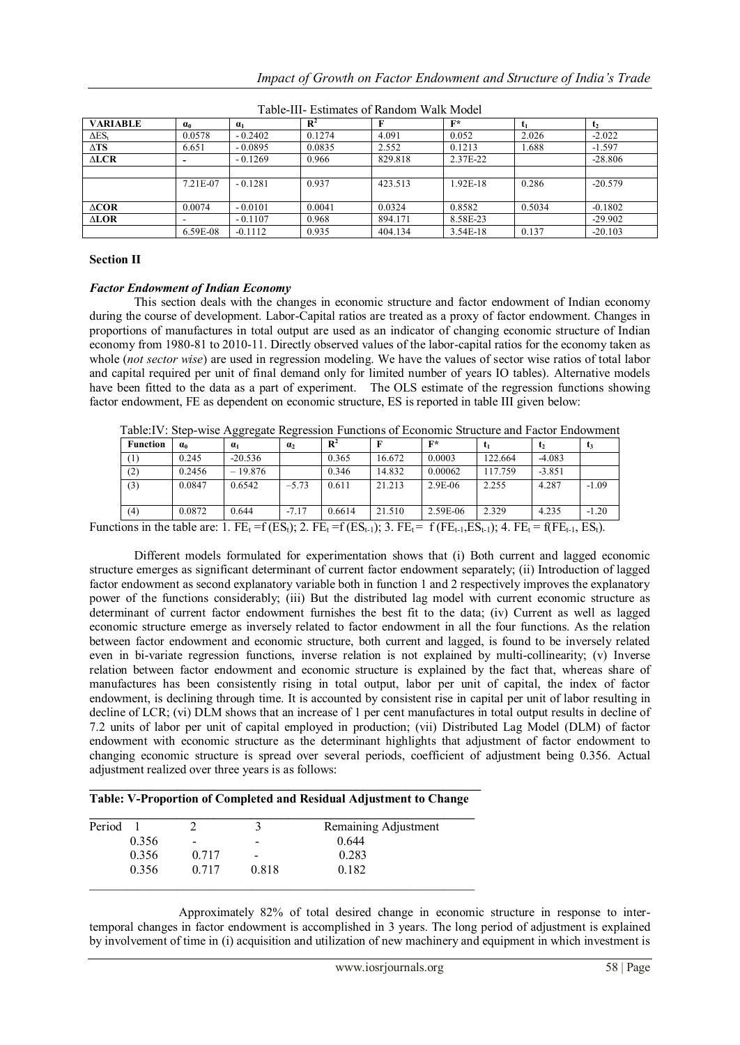| <b>VARIABLE</b> | $\alpha_0$ | $\alpha_1$ | $\mathbb{R}^2$ |         | $F^*$    |        | $\mathbf{t}_2$ |
|-----------------|------------|------------|----------------|---------|----------|--------|----------------|
| $\Delta ES_t$   | 0.0578     | $-0.2402$  | 0.1274         | 4.091   | 0.052    | 2.026  | $-2.022$       |
| $\Delta TS$     | 6.651      | $-0.0895$  | 0.0835         | 2.552   | 0.1213   | 1.688  | $-1.597$       |
| ALCR            |            | $-0.1269$  | 0.966          | 829.818 | 2.37E-22 |        | $-28.806$      |
|                 |            |            |                |         |          |        |                |
|                 | 7.21E-07   | $-0.1281$  | 0.937          | 423.513 | 1.92E-18 | 0.286  | $-20.579$      |
|                 |            |            |                |         |          |        |                |
| $\triangle COR$ | 0.0074     | $-0.0101$  | 0.0041         | 0.0324  | 0.8582   | 0.5034 | $-0.1802$      |
| <b>ALOR</b>     |            | $-0.1107$  | 0.968          | 894.171 | 8.58E-23 |        | $-29.902$      |
|                 | 6.59E-08   | $-0.1112$  | 0.935          | 404.134 | 3.54E-18 | 0.137  | $-20.103$      |

Table-III- Estimates of Random Walk Model

#### **Section II**

#### *Factor Endowment of Indian Economy*

This section deals with the changes in economic structure and factor endowment of Indian economy during the course of development. Labor-Capital ratios are treated as a proxy of factor endowment. Changes in proportions of manufactures in total output are used as an indicator of changing economic structure of Indian economy from 1980-81 to 2010-11. Directly observed values of the labor-capital ratios for the economy taken as whole (*not sector wise*) are used in regression modeling. We have the values of sector wise ratios of total labor and capital required per unit of final demand only for limited number of years IO tables). Alternative models have been fitted to the data as a part of experiment. The OLS estimate of the regression functions showing factor endowment, FE as dependent on economic structure, ES is reported in table III given below:

Table:IV: Step-wise Aggregate Regression Functions of Economic Structure and Factor Endowment

| <b>Function</b> | αo     | $\alpha_1$ | $\mathbf{u}_2$ | $\mathbf{R}^2$ |        | $F^*$    | tı      | t <sub>2</sub> |         |
|-----------------|--------|------------|----------------|----------------|--------|----------|---------|----------------|---------|
| (1)             | 0.245  | $-20.536$  |                | 0.365          | 16.672 | 0.0003   | 122.664 | $-4.083$       |         |
| (2)             | 0.2456 | $-19.876$  |                | 0.346          | 14.832 | 0.00062  | 117.759 | $-3.851$       |         |
| (3)             | 0.0847 | 0.6542     | $-5.73$        | 0.611          | 21.213 | 2.9E-06  | 2.255   | 4.287          | $-1.09$ |
| (4)             | 0.0872 | 0.644      | $-7.17$        | 0.6614         | 21.510 | 2.59E-06 | 2.329   | 4.235          | $-1.20$ |

Different models formulated for experimentation shows that (i) Both current and lagged economic structure emerges as significant determinant of current factor endowment separately; (ii) Introduction of lagged factor endowment as second explanatory variable both in function 1 and 2 respectively improves the explanatory power of the functions considerably; (iii) But the distributed lag model with current economic structure as determinant of current factor endowment furnishes the best fit to the data; (iv) Current as well as lagged economic structure emerge as inversely related to factor endowment in all the four functions. As the relation between factor endowment and economic structure, both current and lagged, is found to be inversely related even in bi-variate regression functions, inverse relation is not explained by multi-collinearity; (v) Inverse relation between factor endowment and economic structure is explained by the fact that, whereas share of manufactures has been consistently rising in total output, labor per unit of capital, the index of factor endowment, is declining through time. It is accounted by consistent rise in capital per unit of labor resulting in decline of LCR; (vi) DLM shows that an increase of 1 per cent manufactures in total output results in decline of 7.2 units of labor per unit of capital employed in production; (vii) Distributed Lag Model (DLM) of factor endowment with economic structure as the determinant highlights that adjustment of factor endowment to changing economic structure is spread over several periods, coefficient of adjustment being 0.356. Actual adjustment realized over three years is as follows:

#### **\_\_\_\_\_\_\_\_\_\_\_\_\_\_\_\_\_\_\_\_\_\_\_\_\_\_\_\_\_\_\_\_\_\_\_\_\_\_\_\_\_\_\_\_\_\_\_\_\_\_\_\_\_\_\_\_\_\_\_\_\_\_\_ Table: V-Proportion of Completed and Residual Adjustment to Change**

| Period |       |       |                          | Remaining Adjustment |
|--------|-------|-------|--------------------------|----------------------|
|        | 0.356 | $\,$  | $\overline{\phantom{0}}$ | 0.644                |
|        | 0.356 | 0.717 | -                        | 0.283                |
|        | 0.356 | 0.717 | 0.818                    | 0.182                |

Approximately 82% of total desired change in economic structure in response to intertemporal changes in factor endowment is accomplished in 3 years. The long period of adjustment is explained by involvement of time in (i) acquisition and utilization of new machinery and equipment in which investment is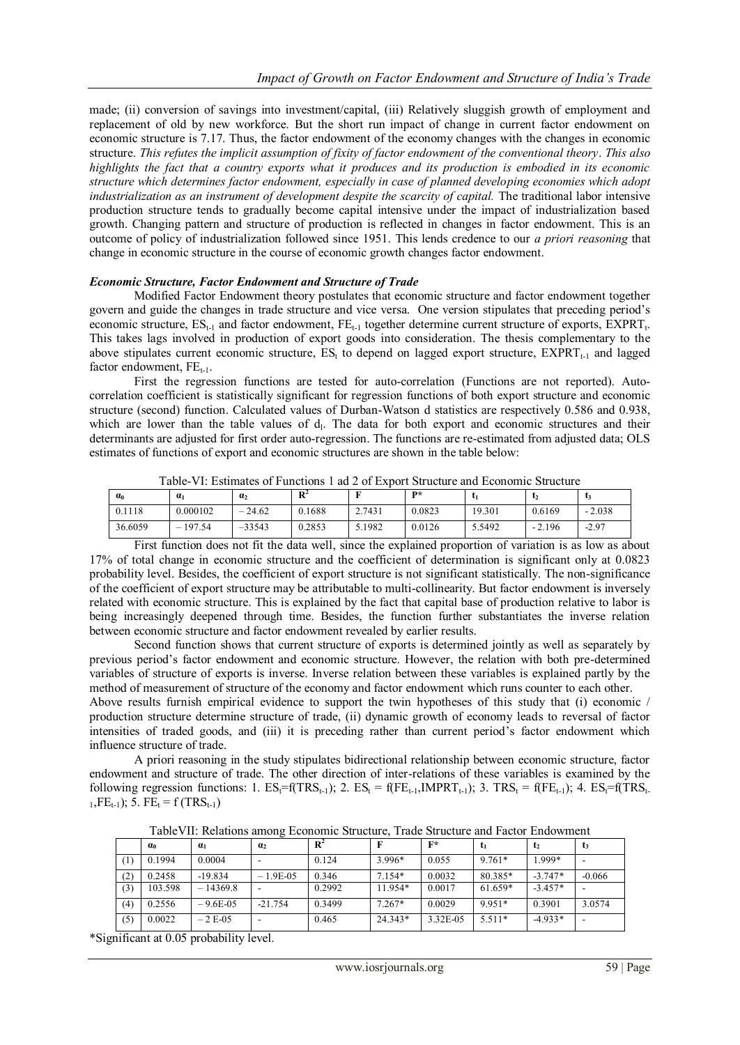made; (ii) conversion of savings into investment/capital, (iii) Relatively sluggish growth of employment and replacement of old by new workforce. But the short run impact of change in current factor endowment on economic structure is 7.17. Thus, the factor endowment of the economy changes with the changes in economic structure. *This refutes the implicit assumption of fixity of factor endowment of the conventional theory*. *This also highlights the fact that a country exports what it produces and its production is embodied in its economic structure which determines factor endowment, especially in case of planned developing economies which adopt industrialization as an instrument of development despite the scarcity of capital.* The traditional labor intensive production structure tends to gradually become capital intensive under the impact of industrialization based growth. Changing pattern and structure of production is reflected in changes in factor endowment. This is an outcome of policy of industrialization followed since 1951. This lends credence to our *a priori reasoning* that change in economic structure in the course of economic growth changes factor endowment.

#### *Economic Structure, Factor Endowment and Structure of Trade*

Modified Factor Endowment theory postulates that economic structure and factor endowment together govern and guide the changes in trade structure and vice versa. One version stipulates that preceding period"s economic structure,  $ES_{t-1}$  and factor endowment,  $FE_{t-1}$  together determine current structure of exports,  $EXPRT_{t}$ . This takes lags involved in production of export goods into consideration. The thesis complementary to the above stipulates current economic structure,  $ES_t$  to depend on lagged export structure,  $EXART_{t-1}$  and lagged factor endowment,  $FE_{t-1}$ .

First the regression functions are tested for auto-correlation (Functions are not reported). Autocorrelation coefficient is statistically significant for regression functions of both export structure and economic structure (second) function. Calculated values of Durban-Watson d statistics are respectively 0.586 and 0.938, which are lower than the table values of d<sub>1</sub>. The data for both export and economic structures and their determinants are adjusted for first order auto-regression. The functions are re-estimated from adjusted data; OLS estimates of functions of export and economic structures are shown in the table below:

| $\alpha_0$ | .<br>$\alpha$                      | a <sub>2</sub> | .<br>D <sup>2</sup><br>v |        | D*     |        | .        |          |
|------------|------------------------------------|----------------|--------------------------|--------|--------|--------|----------|----------|
| 0.1118     | 0.000102                           | 24.62<br>-     | 0.1688                   | 2.7431 | 0.0823 | 19.301 | 0.6169   | $-2.038$ |
| 36.6059    | 197.54<br>$\overline{\phantom{a}}$ | $-33543$       | 0.2853                   | 5.1982 | 0.0126 | 5.5492 | $-2.196$ | $-2.97$  |

Table-VI: Estimates of Functions 1 ad 2 of Export Structure and Economic Structure

First function does not fit the data well, since the explained proportion of variation is as low as about 17% of total change in economic structure and the coefficient of determination is significant only at 0.0823 probability level. Besides, the coefficient of export structure is not significant statistically. The non-significance of the coefficient of export structure may be attributable to multi-collinearity. But factor endowment is inversely related with economic structure. This is explained by the fact that capital base of production relative to labor is being increasingly deepened through time. Besides, the function further substantiates the inverse relation between economic structure and factor endowment revealed by earlier results.

 Second function shows that current structure of exports is determined jointly as well as separately by previous period"s factor endowment and economic structure. However, the relation with both pre-determined variables of structure of exports is inverse. Inverse relation between these variables is explained partly by the method of measurement of structure of the economy and factor endowment which runs counter to each other.

Above results furnish empirical evidence to support the twin hypotheses of this study that (i) economic / production structure determine structure of trade, (ii) dynamic growth of economy leads to reversal of factor intensities of traded goods, and (iii) it is preceding rather than current period"s factor endowment which influence structure of trade.

A priori reasoning in the study stipulates bidirectional relationship between economic structure, factor endowment and structure of trade. The other direction of inter-relations of these variables is examined by the following regression functions: 1.  $ES_t = f(TRS_{t-1})$ ; 2.  $ES_t = f(FE_{t-1}, IMPRT_{t-1})$ ; 3.  $TRS_t = f(FE_{t-1})$ ; 4.  $ES_t = f(TRS_t$ .  $_{1}$ , FE<sub>t-1</sub>); 5. FE<sub>t</sub> = f (TRS<sub>t-1</sub>)

|     | $\alpha_0$ | $\alpha_1$  | a <sub>2</sub> | $\mathbb{R}^2$ |          | $F^*$    | t <sub>1</sub> | t <sub>2</sub> | t3       |
|-----|------------|-------------|----------------|----------------|----------|----------|----------------|----------------|----------|
|     | 0.1994     | 0.0004      |                | 0.124          | $3.996*$ | 0.055    | $9.761*$       | 1.999*         |          |
| (2) | 0.2458     | $-19.834$   | $-1.9E-0.5$    | 0.346          | $7.154*$ | 0.0032   | 80.385*        | $-3.747*$      | $-0.066$ |
| (3) | 103.598    | $-14369.8$  |                | 0.2992         | 11.954*  | 0.0017   | 61.659*        | $-3.457*$      |          |
| (4) | 0.2556     | $-9.6E-0.5$ | $-21.754$      | 0.3499         | $7.267*$ | 0.0029   | 9.951*         | 0.3901         | 3.0574   |
| (5) | 0.0022     | $-2E-05$    |                | 0.465          | 24.343*  | 3.32E-05 | $5.511*$       | $-4.933*$      |          |

TableVII: Relations among Economic Structure, Trade Structure and Factor Endowment

\*Significant at 0.05 probability level.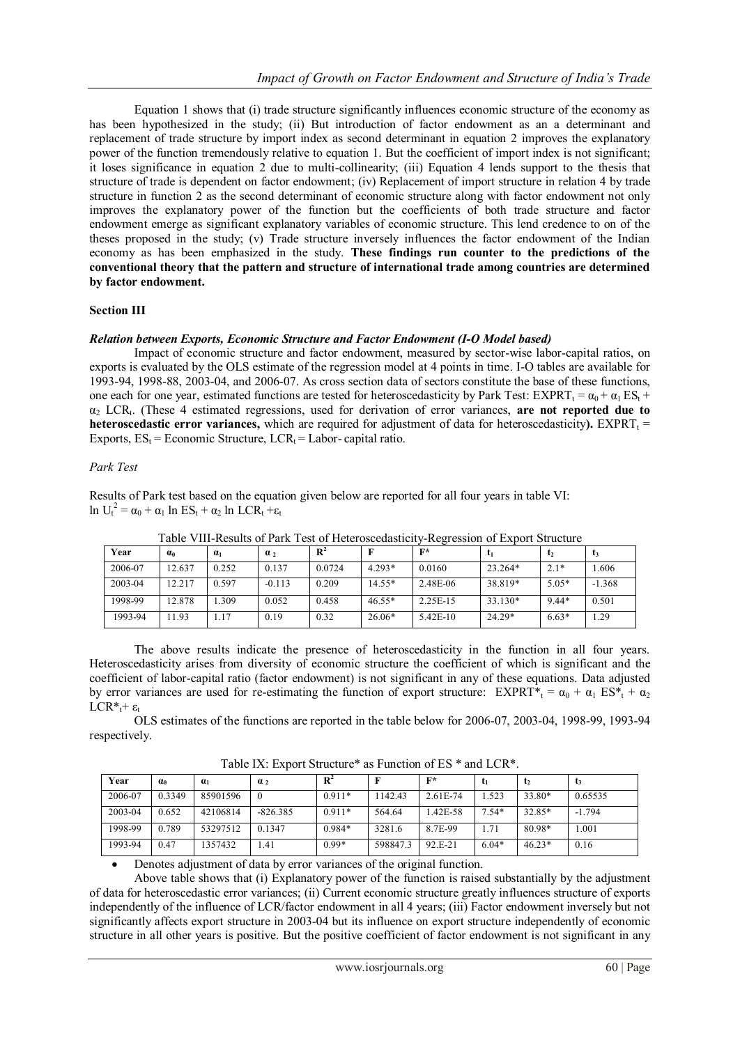Equation 1 shows that (i) trade structure significantly influences economic structure of the economy as has been hypothesized in the study; (ii) But introduction of factor endowment as an a determinant and replacement of trade structure by import index as second determinant in equation 2 improves the explanatory power of the function tremendously relative to equation 1. But the coefficient of import index is not significant; it loses significance in equation 2 due to multi-collinearity; (iii) Equation 4 lends support to the thesis that structure of trade is dependent on factor endowment; (iv) Replacement of import structure in relation 4 by trade structure in function 2 as the second determinant of economic structure along with factor endowment not only improves the explanatory power of the function but the coefficients of both trade structure and factor endowment emerge as significant explanatory variables of economic structure. This lend credence to on of the theses proposed in the study; (v) Trade structure inversely influences the factor endowment of the Indian economy as has been emphasized in the study. **These findings run counter to the predictions of the conventional theory that the pattern and structure of international trade among countries are determined by factor endowment.** 

#### **Section III**

#### *Relation between Exports, Economic Structure and Factor Endowment (I-O Model based)*

Impact of economic structure and factor endowment, measured by sector-wise labor-capital ratios, on exports is evaluated by the OLS estimate of the regression model at 4 points in time. I-O tables are available for 1993-94, 1998-88, 2003-04, and 2006-07. As cross section data of sectors constitute the base of these functions, one each for one year, estimated functions are tested for heteroscedasticity by Park Test: EXPRT<sub>t</sub> =  $\alpha_0 + \alpha_1 ES_t$  + α<sup>2</sup> LCR<sup>t</sup> . (These 4 estimated regressions, used for derivation of error variances, **are not reported due to heteroscedastic error variances,** which are required for adjustment of data for heteroscedasticity).  $EXPRT<sub>t</sub> =$ Exports,  $ES_t = Economic Structure$ ,  $LCR_t = Labor-capital ratio$ .

#### *Park Test*

Results of Park test based on the equation given below are reported for all four years in table VI:  $\ln U_t^2 = \alpha_0 + \alpha_1 \ln ES_t + \alpha_2 \ln LCR_t + \epsilon_1$ 

| Year    | $\alpha$ | $a_1$ | $\alpha$ <sub>2</sub> | $\mathbf{R}^2$ |          | $F^*$    | U1       | t2      | L3       |
|---------|----------|-------|-----------------------|----------------|----------|----------|----------|---------|----------|
| 2006-07 | 12.637   | 0.252 | 0.137                 | 0.0724         | $4.293*$ | 0.0160   | 23.264*  | $2.1*$  | .606     |
| 2003-04 | 12.217   | 0.597 | $-0.113$              | 0.209          | $14.55*$ | 2.48E-06 | 38.819*  | $5.05*$ | $-1.368$ |
| 1998-99 | 12.878   | .309  | 0.052                 | 0.458          | $46.55*$ | 2.25E-15 | 33.130*  | $9.44*$ | 0.501    |
| 1993-94 | 11.93    | . 17  | 0.19                  | 0.32           | $26.06*$ | 5.42E-10 | $24.29*$ | $6.63*$ | 1.29     |

Table VIII-Results of Park Test of Heteroscedasticity-Regression of Export Structure

The above results indicate the presence of heteroscedasticity in the function in all four years. Heteroscedasticity arises from diversity of economic structure the coefficient of which is significant and the coefficient of labor-capital ratio (factor endowment) is not significant in any of these equations. Data adjusted by error variances are used for re-estimating the function of export structure:  $EXPRT^* = \alpha_0 + \alpha_1 ES^* + \alpha_2$  $LCR^* + \varepsilon_t$ 

OLS estimates of the functions are reported in the table below for 2006-07, 2003-04, 1998-99, 1993-94 respectively.

| Year    | $\alpha_0$ | $a_1$    | $\alpha_2$ | $\mathbf{R}$ |          | $F^*$    |         | τ2       | L3       |
|---------|------------|----------|------------|--------------|----------|----------|---------|----------|----------|
| 2006-07 | 0.3349     | 85901596 | $\theta$   | $0.911*$     | 1142.43  | 2.61E-74 | 1.523   | 33.80*   | 0.65535  |
| 2003-04 | 0.652      | 42106814 | $-826.385$ | $0.911*$     | 564.64   | 42E-58   | $7.54*$ | 32.85*   | $-1.794$ |
| 1998-99 | 0.789      | 53297512 | 0.1347     | 0.984*       | 3281.6   | 8.7E-99  | . . 71  | 80.98*   | .001     |
| 1993-94 | 0.47       | 1357432  | .41        | $0.99*$      | 598847.3 | 92 E-21  | $6.04*$ | $46.23*$ | 0.16     |

Table IX: Export Structure\* as Function of ES \* and LCR\*.

Denotes adjustment of data by error variances of the original function.

Above table shows that (i) Explanatory power of the function is raised substantially by the adjustment of data for heteroscedastic error variances; (ii) Current economic structure greatly influences structure of exports independently of the influence of LCR/factor endowment in all 4 years; (iii) Factor endowment inversely but not significantly affects export structure in 2003-04 but its influence on export structure independently of economic structure in all other years is positive. But the positive coefficient of factor endowment is not significant in any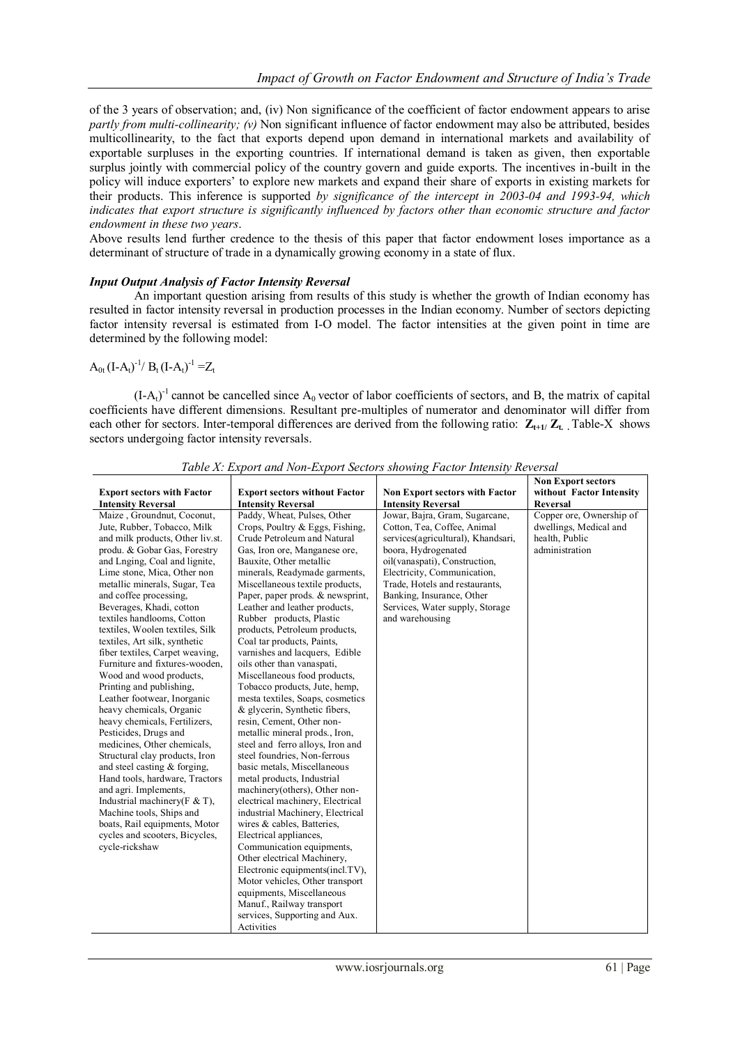of the 3 years of observation; and, (iv) Non significance of the coefficient of factor endowment appears to arise *partly from multi-collinearity; (v)* Non significant influence of factor endowment may also be attributed, besides multicollinearity, to the fact that exports depend upon demand in international markets and availability of exportable surpluses in the exporting countries. If international demand is taken as given, then exportable surplus jointly with commercial policy of the country govern and guide exports. The incentives in-built in the policy will induce exporters" to explore new markets and expand their share of exports in existing markets for their products. This inference is supported *by significance of the intercept in 2003-04 and 1993-94, which indicates that export structure is significantly influenced by factors other than economic structure and factor endowment in these two years*.

Above results lend further credence to the thesis of this paper that factor endowment loses importance as a determinant of structure of trade in a dynamically growing economy in a state of flux.

#### *Input Output Analysis of Factor Intensity Reversal*

An important question arising from results of this study is whether the growth of Indian economy has resulted in factor intensity reversal in production processes in the Indian economy. Number of sectors depicting factor intensity reversal is estimated from I-O model. The factor intensities at the given point in time are determined by the following model:

## $A_{0t}$  (I-A<sub>t</sub>)<sup>-1</sup>/ B<sub>t</sub> (I-A<sub>t</sub>)<sup>-1</sup> = Z<sub>t</sub>

 $(I-A_t)^{-1}$  cannot be cancelled since  $A_0$  vector of labor coefficients of sectors, and B, the matrix of capital coefficients have different dimensions. Resultant pre-multiples of numerator and denominator will differ from each other for sectors. Inter-temporal differences are derived from the following ratio:  $\mathbf{Z}_{t+1}/\mathbf{Z}_t$ . Table-X shows sectors undergoing factor intensity reversals.

|                                                                                                                                                                                                                                                                                                                                                                                                                                                                                                                                                                                                                                                                                                                                                                                                                                                                                                                                                                                         |                                                                                                                                                                                                                                                                                                                                                                                                                                                                                                                                                                                                                                                                                                                                                                                                                                                                                                                                                                                                                                                                                                                                                                                               |                                                                                                                                                                                                                                                                                                                                              | <b>Non Export sectors</b>                                                                                 |
|-----------------------------------------------------------------------------------------------------------------------------------------------------------------------------------------------------------------------------------------------------------------------------------------------------------------------------------------------------------------------------------------------------------------------------------------------------------------------------------------------------------------------------------------------------------------------------------------------------------------------------------------------------------------------------------------------------------------------------------------------------------------------------------------------------------------------------------------------------------------------------------------------------------------------------------------------------------------------------------------|-----------------------------------------------------------------------------------------------------------------------------------------------------------------------------------------------------------------------------------------------------------------------------------------------------------------------------------------------------------------------------------------------------------------------------------------------------------------------------------------------------------------------------------------------------------------------------------------------------------------------------------------------------------------------------------------------------------------------------------------------------------------------------------------------------------------------------------------------------------------------------------------------------------------------------------------------------------------------------------------------------------------------------------------------------------------------------------------------------------------------------------------------------------------------------------------------|----------------------------------------------------------------------------------------------------------------------------------------------------------------------------------------------------------------------------------------------------------------------------------------------------------------------------------------------|-----------------------------------------------------------------------------------------------------------|
| <b>Export sectors with Factor</b>                                                                                                                                                                                                                                                                                                                                                                                                                                                                                                                                                                                                                                                                                                                                                                                                                                                                                                                                                       | <b>Export sectors without Factor</b>                                                                                                                                                                                                                                                                                                                                                                                                                                                                                                                                                                                                                                                                                                                                                                                                                                                                                                                                                                                                                                                                                                                                                          | <b>Non Export sectors with Factor</b>                                                                                                                                                                                                                                                                                                        | without Factor Intensity                                                                                  |
|                                                                                                                                                                                                                                                                                                                                                                                                                                                                                                                                                                                                                                                                                                                                                                                                                                                                                                                                                                                         |                                                                                                                                                                                                                                                                                                                                                                                                                                                                                                                                                                                                                                                                                                                                                                                                                                                                                                                                                                                                                                                                                                                                                                                               |                                                                                                                                                                                                                                                                                                                                              |                                                                                                           |
| <b>Intensity Reversal</b><br>Maize, Groundnut, Coconut,<br>Jute, Rubber, Tobacco, Milk<br>and milk products, Other liv.st.<br>produ. & Gobar Gas, Forestry<br>and Lnging, Coal and lignite,<br>Lime stone, Mica, Other non<br>metallic minerals, Sugar, Tea<br>and coffee processing,<br>Beverages, Khadi, cotton<br>textiles handlooms, Cotton<br>textiles, Woolen textiles, Silk<br>textiles, Art silk, synthetic<br>fiber textiles, Carpet weaving,<br>Furniture and fixtures-wooden.<br>Wood and wood products,<br>Printing and publishing,<br>Leather footwear, Inorganic<br>heavy chemicals, Organic<br>heavy chemicals, Fertilizers,<br>Pesticides, Drugs and<br>medicines, Other chemicals,<br>Structural clay products, Iron<br>and steel casting & forging,<br>Hand tools, hardware, Tractors<br>and agri. Implements,<br>Industrial machinery ( $F \& T$ ),<br>Machine tools, Ships and<br>boats, Rail equipments, Motor<br>cycles and scooters, Bicycles,<br>cycle-rickshaw | <b>Intensity Reversal</b><br>Paddy, Wheat, Pulses, Other<br>Crops, Poultry & Eggs, Fishing,<br>Crude Petroleum and Natural<br>Gas, Iron ore, Manganese ore,<br>Bauxite, Other metallic<br>minerals, Readymade garments,<br>Miscellaneous textile products,<br>Paper, paper prods. & newsprint,<br>Leather and leather products,<br>Rubber products, Plastic<br>products, Petroleum products,<br>Coal tar products, Paints,<br>varnishes and lacquers, Edible<br>oils other than vanaspati,<br>Miscellaneous food products,<br>Tobacco products, Jute, hemp,<br>mesta textiles, Soaps, cosmetics<br>& glycerin, Synthetic fibers,<br>resin, Cement, Other non-<br>metallic mineral prods., Iron,<br>steel and ferro alloys, Iron and<br>steel foundries, Non-ferrous<br>basic metals, Miscellaneous<br>metal products, Industrial<br>machinery(others), Other non-<br>electrical machinery, Electrical<br>industrial Machinery, Electrical<br>wires & cables. Batteries.<br>Electrical appliances,<br>Communication equipments,<br>Other electrical Machinery,<br>Electronic equipments(incl.TV),<br>Motor vehicles, Other transport<br>equipments, Miscellaneous<br>Manuf., Railway transport | <b>Intensity Reversal</b><br>Jowar, Bajra, Gram, Sugarcane,<br>Cotton, Tea, Coffee, Animal<br>services(agricultural), Khandsari,<br>boora, Hydrogenated<br>oil(vanaspati), Construction,<br>Electricity, Communication,<br>Trade, Hotels and restaurants,<br>Banking, Insurance, Other<br>Services, Water supply, Storage<br>and warehousing | <b>Reversal</b><br>Copper ore, Ownership of<br>dwellings, Medical and<br>health. Public<br>administration |
|                                                                                                                                                                                                                                                                                                                                                                                                                                                                                                                                                                                                                                                                                                                                                                                                                                                                                                                                                                                         | services, Supporting and Aux.                                                                                                                                                                                                                                                                                                                                                                                                                                                                                                                                                                                                                                                                                                                                                                                                                                                                                                                                                                                                                                                                                                                                                                 |                                                                                                                                                                                                                                                                                                                                              |                                                                                                           |
|                                                                                                                                                                                                                                                                                                                                                                                                                                                                                                                                                                                                                                                                                                                                                                                                                                                                                                                                                                                         | Activities                                                                                                                                                                                                                                                                                                                                                                                                                                                                                                                                                                                                                                                                                                                                                                                                                                                                                                                                                                                                                                                                                                                                                                                    |                                                                                                                                                                                                                                                                                                                                              |                                                                                                           |

*Table X: Export and Non-Export Sectors showing Factor Intensity Reversal*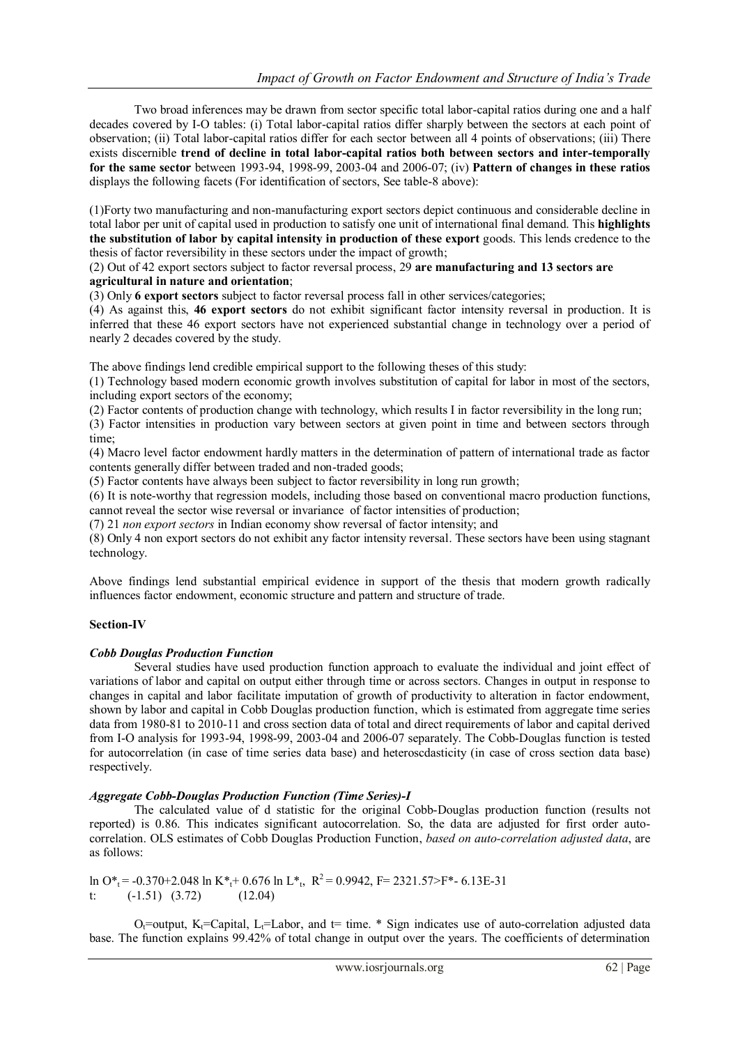Two broad inferences may be drawn from sector specific total labor-capital ratios during one and a half decades covered by I-O tables: (i) Total labor-capital ratios differ sharply between the sectors at each point of observation; (ii) Total labor-capital ratios differ for each sector between all 4 points of observations; (iii) There exists discernible **trend of decline in total labor-capital ratios both between sectors and inter-temporally for the same sector** between 1993-94, 1998-99, 2003-04 and 2006-07; (iv) **Pattern of changes in these ratios** displays the following facets (For identification of sectors, See table-8 above):

(1)Forty two manufacturing and non-manufacturing export sectors depict continuous and considerable decline in total labor per unit of capital used in production to satisfy one unit of international final demand. This **highlights the substitution of labor by capital intensity in production of these export** goods. This lends credence to the thesis of factor reversibility in these sectors under the impact of growth;

(2) Out of 42 export sectors subject to factor reversal process, 29 **are manufacturing and 13 sectors are agricultural in nature and orientation**;

(3) Only **6 export sectors** subject to factor reversal process fall in other services/categories;

(4) As against this, **46 export sectors** do not exhibit significant factor intensity reversal in production. It is inferred that these 46 export sectors have not experienced substantial change in technology over a period of nearly 2 decades covered by the study.

The above findings lend credible empirical support to the following theses of this study:

(1) Technology based modern economic growth involves substitution of capital for labor in most of the sectors, including export sectors of the economy;

(2) Factor contents of production change with technology, which results I in factor reversibility in the long run;

(3) Factor intensities in production vary between sectors at given point in time and between sectors through time;

(4) Macro level factor endowment hardly matters in the determination of pattern of international trade as factor contents generally differ between traded and non-traded goods;

(5) Factor contents have always been subject to factor reversibility in long run growth;

(6) It is note-worthy that regression models, including those based on conventional macro production functions, cannot reveal the sector wise reversal or invariance of factor intensities of production;

(7) 21 *non export sectors* in Indian economy show reversal of factor intensity; and

(8) Only 4 non export sectors do not exhibit any factor intensity reversal. These sectors have been using stagnant technology.

Above findings lend substantial empirical evidence in support of the thesis that modern growth radically influences factor endowment, economic structure and pattern and structure of trade.

## **Section-IV**

## *Cobb Douglas Production Function*

Several studies have used production function approach to evaluate the individual and joint effect of variations of labor and capital on output either through time or across sectors. Changes in output in response to changes in capital and labor facilitate imputation of growth of productivity to alteration in factor endowment, shown by labor and capital in Cobb Douglas production function, which is estimated from aggregate time series data from 1980-81 to 2010-11 and cross section data of total and direct requirements of labor and capital derived from I-O analysis for 1993-94, 1998-99, 2003-04 and 2006-07 separately. The Cobb-Douglas function is tested for autocorrelation (in case of time series data base) and heteroscdasticity (in case of cross section data base) respectively.

#### *Aggregate Cobb-Douglas Production Function (Time Series)-I*

The calculated value of d statistic for the original Cobb-Douglas production function (results not reported) is 0.86. This indicates significant autocorrelation. So, the data are adjusted for first order autocorrelation. OLS estimates of Cobb Douglas Production Function, *based on auto-correlation adjusted data*, are as follows:

```
ln O*<sub>t</sub> = -0.370+2.048 ln K*<sub>t</sub>+ 0.676 ln L*<sub>t</sub>, R<sup>2</sup> = 0.9942, F= 2321.57>F*- 6.13E-31
t: (-1.51) (3.72) (12.04)
```
 $O_t$ =output, K<sub>t</sub>=Capital, L<sub>t</sub>=Labor, and t= time. \* Sign indicates use of auto-correlation adjusted data base. The function explains 99.42% of total change in output over the years. The coefficients of determination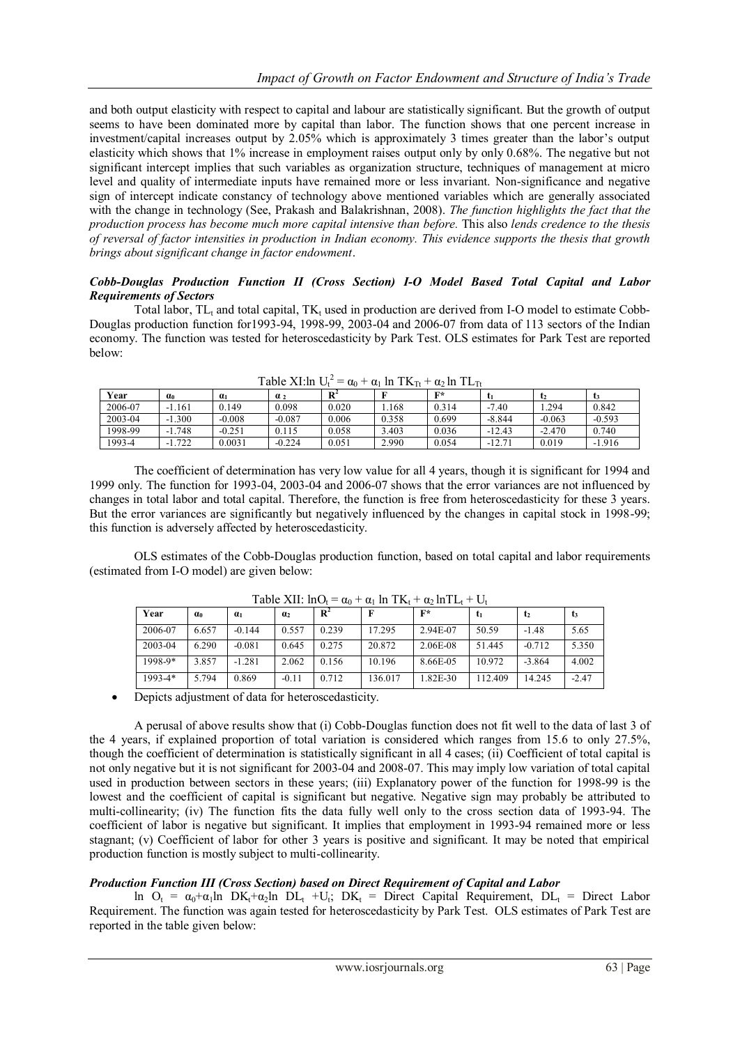and both output elasticity with respect to capital and labour are statistically significant. But the growth of output seems to have been dominated more by capital than labor. The function shows that one percent increase in investment/capital increases output by 2.05% which is approximately 3 times greater than the labor"s output elasticity which shows that 1% increase in employment raises output only by only 0.68%. The negative but not significant intercept implies that such variables as organization structure, techniques of management at micro level and quality of intermediate inputs have remained more or less invariant. Non-significance and negative sign of intercept indicate constancy of technology above mentioned variables which are generally associated with the change in technology (See, Prakash and Balakrishnan, 2008). *The function highlights the fact that the production process has become much more capital intensive than before.* This also *lends credence to the thesis of reversal of factor intensities in production in Indian economy. This evidence supports the thesis that growth brings about significant change in factor endowment*.

#### *Cobb-Douglas Production Function II (Cross Section) I-O Model Based Total Capital and Labor Requirements of Sectors*

Total labor,  $TL<sub>t</sub>$  and total capital,  $TK<sub>t</sub>$  used in production are derived from I-O model to estimate Cobb-Douglas production function for1993-94, 1998-99, 2003-04 and 2006-07 from data of 113 sectors of the Indian economy. The function was tested for heteroscedasticity by Park Test. OLS estimates for Park Test are reported below:

|         |             |            | radie Al.III $U_t$ |                | $-\alpha_0 + \alpha_1$ in $1 \mathbf{K}$ <sub>Tt</sub> + $\alpha_2$ in $1 \mathbf{L}$ <sub>Tt</sub> |                |          |          |          |
|---------|-------------|------------|--------------------|----------------|-----------------------------------------------------------------------------------------------------|----------------|----------|----------|----------|
| Year    | $\alpha_0$  | $\alpha_1$ | $\alpha$ ,         | $\mathbf{R}^2$ |                                                                                                     | $\mathbf{F}^*$ |          |          | ı₹       |
| 2006-07 | $-1.161$    | 0.149      | 0.098              | 0.020          | .168                                                                                                | 0.314          | $-7.40$  | .294     | 0.842    |
| 2003-04 | $-1.300$    | $-0.008$   | $-0.087$           | 0.006          | 0.358                                                                                               | 0.699          | $-8.844$ | $-0.063$ | $-0.593$ |
| 1998-99 | $-1.748$    | $-0.251$   | 0.115              | 0.058          | 3.403                                                                                               | 0.036          | $-12.43$ | $-2.470$ | 0.740    |
| 1993-4  | .722<br>- 1 | 0.0031     | $-0.224$           | 0.051          | 2.990                                                                                               | 0.054          | $-12.71$ | 0.019    | $-1.916$ |

Table XI:ln  $U_t^2 = \alpha_0 + \alpha_1 \ln T K_{Tt} + \alpha_2 \ln T L_{Tt}$ 

The coefficient of determination has very low value for all 4 years, though it is significant for 1994 and 1999 only. The function for 1993-04, 2003-04 and 2006-07 shows that the error variances are not influenced by changes in total labor and total capital. Therefore, the function is free from heteroscedasticity for these 3 years. But the error variances are significantly but negatively influenced by the changes in capital stock in 1998-99; this function is adversely affected by heteroscedasticity.

OLS estimates of the Cobb-Douglas production function, based on total capital and labor requirements (estimated from I-O model) are given below:

| Year        | $\alpha$ | a <sub>1</sub> | $\alpha_2$ | $\mathbf{R}^2$ |         | $F^*$    | t <sub>1</sub> | t <sub>2</sub> | t3      |
|-------------|----------|----------------|------------|----------------|---------|----------|----------------|----------------|---------|
| 2006-07     | 6.657    | $-0.144$       | 0.557      | 0.239          | 17.295  | 2.94E-07 | 50.59          | $-1.48$        | 5.65    |
| 2003-04     | 6.290    | $-0.081$       | 0.645      | 0.275          | 20.872  | 2.06E-08 | 51.445         | $-0.712$       | 5.350   |
| 1998-9*     | 3.857    | $-1.281$       | 2.062      | 0.156          | 10.196  | 8.66E-05 | 10.972         | $-3.864$       | 4.002   |
| $1993 - 4*$ | 5.794    | 0.869          | $-0.11$    | 0.712          | 136.017 | 1.82E-30 | 112.409        | 14.245         | $-2.47$ |

 $Table \text{VIL} \cdot \ln \Omega = \alpha + \alpha \ln \text{TV} + \alpha \ln \text{TL} + \text{UL}$ 

Depicts adjustment of data for heteroscedasticity.

A perusal of above results show that (i) Cobb-Douglas function does not fit well to the data of last 3 of the 4 years, if explained proportion of total variation is considered which ranges from 15.6 to only 27.5%, though the coefficient of determination is statistically significant in all 4 cases; (ii) Coefficient of total capital is not only negative but it is not significant for 2003-04 and 2008-07. This may imply low variation of total capital used in production between sectors in these years; (iii) Explanatory power of the function for 1998-99 is the lowest and the coefficient of capital is significant but negative. Negative sign may probably be attributed to multi-collinearity; (iv) The function fits the data fully well only to the cross section data of 1993-94. The coefficient of labor is negative but significant. It implies that employment in 1993-94 remained more or less stagnant; (v) Coefficient of labor for other 3 years is positive and significant. It may be noted that empirical production function is mostly subject to multi-collinearity.

# *Production Function III (Cross Section) based on Direct Requirement of Capital and Labor*

ln  $O_t = \alpha_0 + \alpha_1 \ln DK_t + \alpha_2 \ln DL_t + U_t$ ; DK<sub>t</sub> = Direct Capital Requirement, DL<sub>t</sub> = Direct Labor Requirement. The function was again tested for heteroscedasticity by Park Test. OLS estimates of Park Test are reported in the table given below: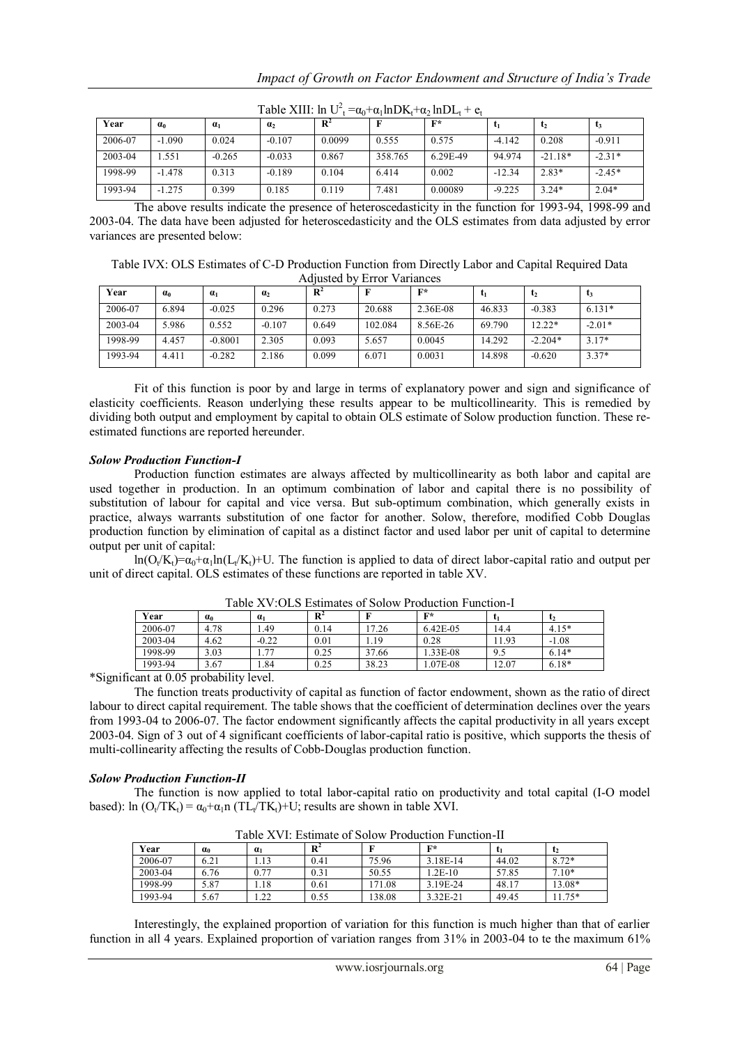| $\sim$<br>$\frac{1}{2}$ |            |          |                |                |         |          |          |           |          |  |  |
|-------------------------|------------|----------|----------------|----------------|---------|----------|----------|-----------|----------|--|--|
| Year                    | $\alpha_0$ | $a_1$    | $\mathbf{a}_2$ | $\mathbf{R}^2$ |         | $F^*$    |          |           | L3       |  |  |
| 2006-07                 | $-1.090$   | 0.024    | $-0.107$       | 0.0099         | 0.555   | 0.575    | $-4.142$ | 0.208     | $-0.911$ |  |  |
| 2003-04                 | .551       | $-0.265$ | $-0.033$       | 0.867          | 358.765 | 6.29E-49 | 94.974   | $-21.18*$ | $-2.31*$ |  |  |
| 1998-99                 | $-1.478$   | 0.313    | $-0.189$       | 0.104          | 6.414   | 0.002    | $-12.34$ | $2.83*$   | $-2.45*$ |  |  |
| 1993-94                 | $-1.275$   | 0.399    | 0.185          | 0.119          | 7.481   | 0.00089  | $-9.225$ | $3.24*$   | $2.04*$  |  |  |

Table XIII:  $\ln U_t^2 = \alpha_0 + \alpha_1 \ln D K_t + \alpha_2 \ln D L_t + e_t$ 

The above results indicate the presence of heteroscedasticity in the function for 1993-94, 1998-99 and 2003-04. The data have been adjusted for heteroscedasticity and the OLS estimates from data adjusted by error variances are presented below:

Table IVX: OLS Estimates of C-D Production Function from Directly Labor and Capital Required Data Adjusted by Error Variances

| Year    | $a_0$ | $a_1$     | $\mathbf{a}_2$ | $\mathbf{R}^2$ |         | $\mathbf{F}^*$ |        | $\mathsf{L}_2$ | L3       |
|---------|-------|-----------|----------------|----------------|---------|----------------|--------|----------------|----------|
| 2006-07 | 6.894 | $-0.025$  | 0.296          | 0.273          | 20.688  | 2.36E-08       | 46.833 | $-0.383$       | $6.131*$ |
| 2003-04 | 5.986 | 0.552     | $-0.107$       | 0.649          | 102.084 | 8.56E-26       | 69.790 | 12.22*         | $-2.01*$ |
| 1998-99 | 4.457 | $-0.8001$ | 2.305          | 0.093          | 5.657   | 0.0045         | 14.292 | $-2.204*$      | $3.17*$  |
| 1993-94 | 4.411 | $-0.282$  | 2.186          | 0.099          | 6.071   | 0.0031         | 14.898 | $-0.620$       | $3.37*$  |

Fit of this function is poor by and large in terms of explanatory power and sign and significance of elasticity coefficients. Reason underlying these results appear to be multicollinearity. This is remedied by dividing both output and employment by capital to obtain OLS estimate of Solow production function. These reestimated functions are reported hereunder.

#### *Solow Production Function-I*

Production function estimates are always affected by multicollinearity as both labor and capital are used together in production. In an optimum combination of labor and capital there is no possibility of substitution of labour for capital and vice versa. But sub-optimum combination, which generally exists in practice, always warrants substitution of one factor for another. Solow, therefore, modified Cobb Douglas production function by elimination of capital as a distinct factor and used labor per unit of capital to determine output per unit of capital:

 $ln(O_t/K_t) = \alpha_0 + \alpha_1 ln(L_t/K_t) + U$ . The function is applied to data of direct labor-capital ratio and output per unit of direct capital. OLS estimates of these functions are reported in table XV.

| Year    | $\alpha_0$ | $\alpha_1$ | D <sup>4</sup> |       | F∗       |       | $\mathbf{L}_2$ |
|---------|------------|------------|----------------|-------|----------|-------|----------------|
| 2006-07 | 4.78       | .49        | 0.14           | 7.26  | 6.42E-05 | 14.4  | $4.15*$        |
| 2003-04 | 4.62       | $-0.22$    | 0.01           | . 19  | 0.28     | 11.93 | $-1.08$        |
| 1998-99 | 3.03       | 1.77       | 0.25           | 37.66 | 1.33E-08 | 9.5   | $6.14*$        |
| 1993-94 | 3.67       | .84        | 0.25           | 38.23 | 1.07E-08 | 12.07 | $6.18*$        |

Table XV:OLS Estimates of Solow Production Function-I

\*Significant at 0.05 probability level.

The function treats productivity of capital as function of factor endowment, shown as the ratio of direct labour to direct capital requirement. The table shows that the coefficient of determination declines over the years from 1993-04 to 2006-07. The factor endowment significantly affects the capital productivity in all years except 2003-04. Sign of 3 out of 4 significant coefficients of labor-capital ratio is positive, which supports the thesis of multi-collinearity affecting the results of Cobb-Douglas production function.

#### *Solow Production Function-II*

The function is now applied to total labor-capital ratio on productivity and total capital (I-O model based): ln  $(O_t/TK_t) = \alpha_0 + \alpha_1 n (TL_t/TK_t) + U$ ; results are shown in table XVI.

|         |            |                                        |                |        | 1 WUIV 11 : 11 LUULLEUVE UL LUULU :: 1 LU MEEVILUIL 1 MILVELUIL 11 |       |                |
|---------|------------|----------------------------------------|----------------|--------|--------------------------------------------------------------------|-------|----------------|
| Year    | $\alpha_0$ | a <sub>1</sub>                         | $\mathbf{D}^*$ |        | $\mathbf{F}^*$                                                     |       | $\mathbf{t}_2$ |
| 2006-07 | 6.21       | 1.13                                   | 0.41           | 75.96  | 3.18E-14                                                           | 44.02 | $8.72*$        |
| 2003-04 | 6.76       | 0.77                                   | 0.31           | 50.55  | 1.2E-10                                                            | 57.85 | $7.10*$        |
| 1998-99 | 5.87       | 1.18                                   | 0.61           | 171.08 | 3.19E-24                                                           | 48.17 | 13.08*         |
| 1993-94 | 5.67       | $\mathcal{D}$<br>$\sim$ . 4. 4. $\sim$ | 0.55           | 138.08 | 3.32E-21                                                           | 49.45 | $1.75*$        |

Table XVI: Estimate of Solow Production Function-II

Interestingly, the explained proportion of variation for this function is much higher than that of earlier function in all 4 years. Explained proportion of variation ranges from 31% in 2003-04 to te the maximum 61%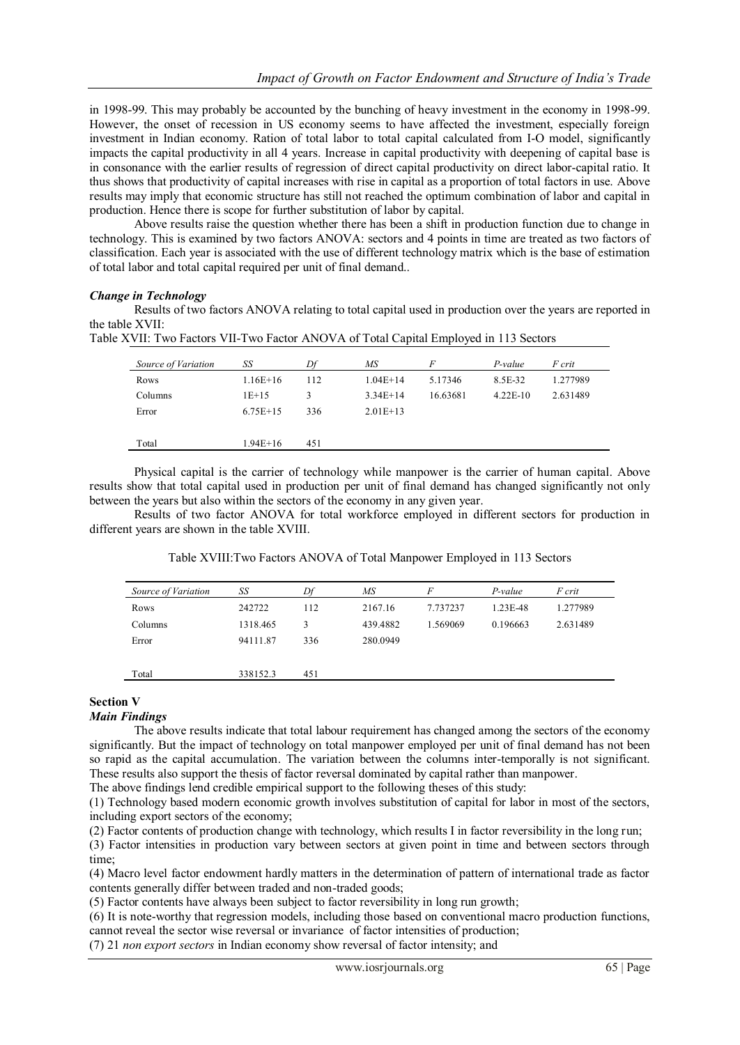in 1998-99. This may probably be accounted by the bunching of heavy investment in the economy in 1998-99. However, the onset of recession in US economy seems to have affected the investment, especially foreign investment in Indian economy. Ration of total labor to total capital calculated from I-O model, significantly impacts the capital productivity in all 4 years. Increase in capital productivity with deepening of capital base is in consonance with the earlier results of regression of direct capital productivity on direct labor-capital ratio. It thus shows that productivity of capital increases with rise in capital as a proportion of total factors in use. Above results may imply that economic structure has still not reached the optimum combination of labor and capital in production. Hence there is scope for further substitution of labor by capital.

Above results raise the question whether there has been a shift in production function due to change in technology. This is examined by two factors ANOVA: sectors and 4 points in time are treated as two factors of classification. Each year is associated with the use of different technology matrix which is the base of estimation of total labor and total capital required per unit of final demand..

#### *Change in Technology*

Results of two factors ANOVA relating to total capital used in production over the years are reported in the table XVII:

| Table XVII: Two Factors VII-Two Factor ANOVA of Total Capital Employed in 113 Sectors |  |
|---------------------------------------------------------------------------------------|--|
|---------------------------------------------------------------------------------------|--|

| Source of Variation | SS         | Df  | MS         | F        | $P-value$  | F crit   |
|---------------------|------------|-----|------------|----------|------------|----------|
| Rows                | $1.16E+16$ | 112 | $1.04E+14$ | 5.17346  | 8.5E-32    | 1.277989 |
| Columns             | $1E+15$    | ٩   | $3.34E+14$ | 16.63681 | $4.22E-10$ | 2.631489 |
| Error               | $6.75E+15$ | 336 | $2.01E+13$ |          |            |          |
|                     |            |     |            |          |            |          |
| Total               | $1.94E+16$ | 451 |            |          |            |          |
|                     |            |     |            |          |            |          |

Physical capital is the carrier of technology while manpower is the carrier of human capital. Above results show that total capital used in production per unit of final demand has changed significantly not only between the years but also within the sectors of the economy in any given year.

Results of two factor ANOVA for total workforce employed in different sectors for production in different years are shown in the table XVIII.

| Source of Variation | SS       | Df  | MS       | F        | $P-value$ | F crit   |
|---------------------|----------|-----|----------|----------|-----------|----------|
| Rows                | 242722   | 112 | 2167.16  | 7.737237 | 1.23E-48  | 1.277989 |
| Columns             | 1318.465 | 3   | 439.4882 | 1.569069 | 0.196663  | 2.631489 |
| Error               | 94111.87 | 336 | 280.0949 |          |           |          |
|                     |          |     |          |          |           |          |
| Total               | 338152.3 | 451 |          |          |           |          |

Table XVIII:Two Factors ANOVA of Total Manpower Employed in 113 Sectors

# **Section V**

## *Main Findings*

The above results indicate that total labour requirement has changed among the sectors of the economy significantly. But the impact of technology on total manpower employed per unit of final demand has not been so rapid as the capital accumulation. The variation between the columns inter-temporally is not significant. These results also support the thesis of factor reversal dominated by capital rather than manpower.

The above findings lend credible empirical support to the following theses of this study:

(1) Technology based modern economic growth involves substitution of capital for labor in most of the sectors, including export sectors of the economy;

(2) Factor contents of production change with technology, which results I in factor reversibility in the long run;

(3) Factor intensities in production vary between sectors at given point in time and between sectors through time;

(4) Macro level factor endowment hardly matters in the determination of pattern of international trade as factor contents generally differ between traded and non-traded goods;

(5) Factor contents have always been subject to factor reversibility in long run growth;

(6) It is note-worthy that regression models, including those based on conventional macro production functions, cannot reveal the sector wise reversal or invariance of factor intensities of production;

(7) 21 *non export sectors* in Indian economy show reversal of factor intensity; and